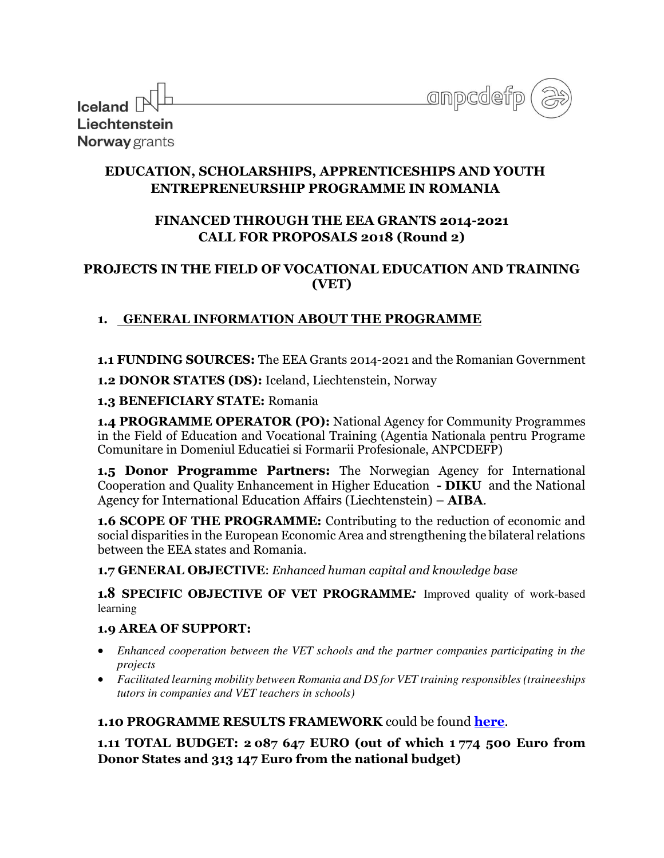| anpcdefp. |  |
|-----------|--|
|           |  |

| $\frac{1}{2}$ local colored $\mathbb{R}^{\mathbb{L}}$ |  |  |  |  |
|-------------------------------------------------------|--|--|--|--|
| Liechtenstein                                         |  |  |  |  |
| Norway grants                                         |  |  |  |  |

 $\Box$ 

## **EDUCATION, SCHOLARSHIPS, APPRENTICESHIPS AND YOUTH ENTREPRENEURSHIP PROGRAMME IN ROMANIA**

# **FINANCED THROUGH THE EEA GRANTS 2014-2021 CALL FOR PROPOSALS 2018 (Round 2)**

## **PROJECTS IN THE FIELD OF VOCATIONAL EDUCATION AND TRAINING (VET)**

# **1. GENERAL INFORMATION ABOUT THE PROGRAMME**

**1.1 FUNDING SOURCES:** The EEA Grants 2014-2021 and the Romanian Government

**1.2 DONOR STATES (DS):** Iceland, Liechtenstein, Norway

### **1.3 BENEFICIARY STATE:** Romania

**1.4 PROGRAMME OPERATOR (PO):** National Agency for Community Programmes in the Field of Education and Vocational Training (Agentia Nationala pentru Programe Comunitare in Domeniul Educatiei si Formarii Profesionale, ANPCDEFP)

**1.5 Donor Programme Partners:** The Norwegian Agency for International Cooperation and Quality Enhancement in Higher Education **- DIKU** and the National Agency for International Education Affairs (Liechtenstein) – **AIBA**.

**1.6 SCOPE OF THE PROGRAMME:** Contributing to the reduction of economic and social disparities in the European Economic Area and strengthening the bilateral relations between the EEA states and Romania.

**1.7 GENERAL OBJECTIVE**: *Enhanced human capital and knowledge base* 

**<sup>1</sup>.8 SPECIFIC OBJECTIVE OF VET PROGRAMME***:* Improved quality of work-based learning

## **1.9 AREA OF SUPPORT:**

- *Enhanced cooperation between the VET schools and the partner companies participating in the projects*
- *Facilitated learning mobility between Romania and DS for VET training responsibles (traineeships tutors in companies and VET teachers in schools)*

## **1.10 PROGRAMME RESULTS FRAMEWORK** could be found **[here](http://www.eea4edu.ro/wp-content/uploads/2018/10/ESAYEP_indicators.pdf)**.

**1.11 TOTAL BUDGET: 2 087 647 EURO (out of which 1 774 500 Euro from Donor States and 313 147 Euro from the national budget)**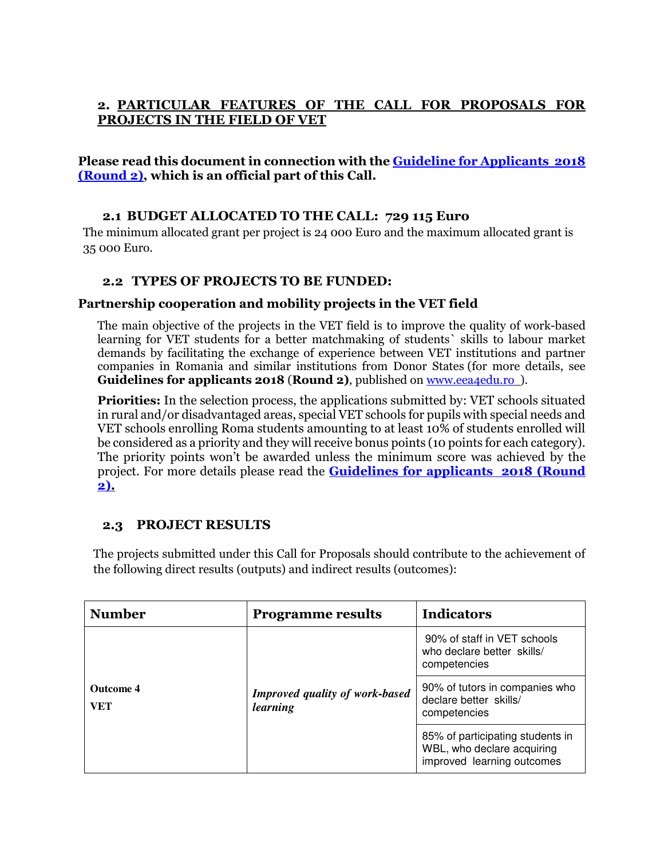### **2. PARTICULAR FEATURES OF THE CALL FOR PROPOSALS FOR PROJECTS IN THE FIELD OF VET**

#### **Please read this document in connection with the [Guideline for Applicants 2018](http://www.eea4edu.ro/en/guide_vet2018/)  [\(Round 2\),](http://www.eea4edu.ro/en/guide_vet2018/) which is an official part of this Call.**

### **2.1 BUDGET ALLOCATED TO THE CALL: 729 115 Euro**

The minimum allocated grant per project is 24 000 Euro and the maximum allocated grant is 35 000 Euro.

### **2.2 TYPES OF PROJECTS TO BE FUNDED:**

#### **Partnership cooperation and mobility projects in the VET field**

The main objective of the projects in the VET field is to improve the quality of work-based learning for VET students for a better matchmaking of students` skills to labour market demands by facilitating the exchange of experience between VET institutions and partner companies in Romania and similar institutions from Donor States (for more details, see **Guidelines for applicants 2018 (Round 2)**, published on [www.eea4edu.ro](http://www.eea4edu.ro/) ).

**Priorities:** In the selection process, the applications submitted by: VET schools situated in rural and/or disadvantaged areas, special VET schools for pupils with special needs and VET schools enrolling Roma students amounting to at least 10% of students enrolled will be considered as a priority and they will receive bonus points (10 points for each category). The priority points won't be awarded unless the minimum score was achieved by the project. For more details please read the **[Guidelines for applicants 2018 \(Round](http://www.eea4edu.ro/en/guide_vet2018/)  [2\).](http://www.eea4edu.ro/en/guide_vet2018/)** 

### **2.3 PROJECT RESULTS**

The projects submitted under this Call for Proposals should contribute to the achievement of the following direct results (outputs) and indirect results (outcomes):

| <b>Number</b>                  | <b>Programme results</b>                          | <b>Indicators</b>                                                                            |  |
|--------------------------------|---------------------------------------------------|----------------------------------------------------------------------------------------------|--|
| <b>Outcome 4</b><br><b>VET</b> | <b>Improved quality of work-based</b><br>learning | 90% of staff in VET schools<br>who declare better skills/<br>competencies                    |  |
|                                |                                                   | 90% of tutors in companies who<br>declare better skills/<br>competencies                     |  |
|                                |                                                   | 85% of participating students in<br>WBL, who declare acquiring<br>improved learning outcomes |  |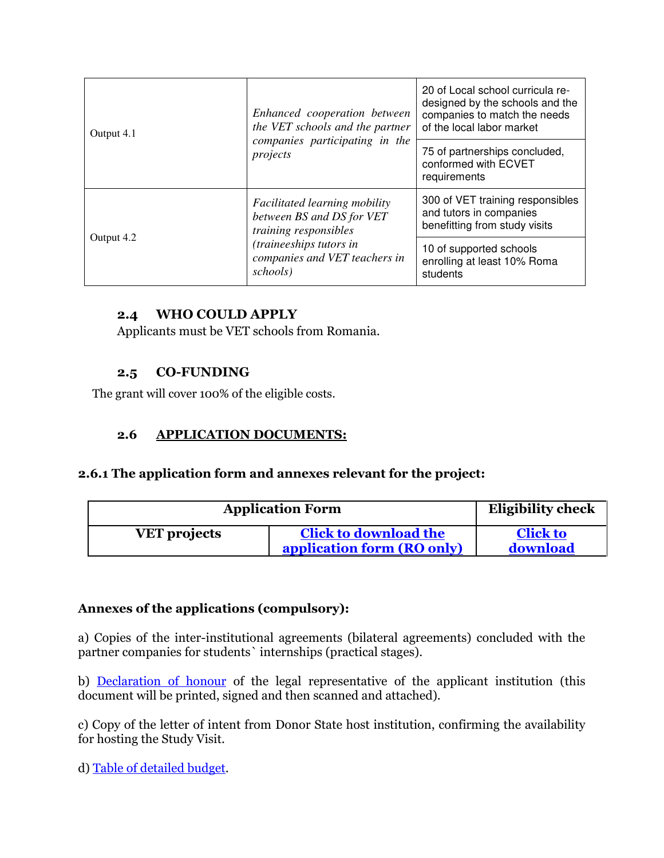| Output 4.1 | Enhanced cooperation between<br>the VET schools and the partner<br>companies participating in the<br>projects                                                      | 20 of Local school curricula re-<br>designed by the schools and the<br>companies to match the needs<br>of the local labor market |
|------------|--------------------------------------------------------------------------------------------------------------------------------------------------------------------|----------------------------------------------------------------------------------------------------------------------------------|
|            |                                                                                                                                                                    | 75 of partnerships concluded,<br>conformed with ECVET<br>requirements                                                            |
| Output 4.2 | <i>Facilitated learning mobility</i><br>between BS and DS for VET<br>training responsibles<br>(traineeships tutors in<br>companies and VET teachers in<br>schools) | 300 of VET training responsibles<br>and tutors in companies<br>benefitting from study visits                                     |
|            |                                                                                                                                                                    | 10 of supported schools<br>enrolling at least 10% Roma<br>students                                                               |

### **2.4 WHO COULD APPLY**

Applicants must be VET schools from Romania.

### **2.5 CO-FUNDING**

The grant will cover 100% of the eligible costs.

### **2.6 APPLICATION DOCUMENTS:**

### **2.6.1 The application form and annexes relevant for the project:**

| <b>Application Form</b> |                                                            | <b>Eligibility check</b>    |
|-------------------------|------------------------------------------------------------|-----------------------------|
| <b>VET</b> projects     | <b>Click to download the</b><br>application form (RO only) | <b>Click to</b><br>download |

## **Annexes of the applications (compulsory):**

a) Copies of the inter-institutional agreements (bilateral agreements) concluded with the partner companies for students` internships (practical stages).

b) [Declaration of honour](http://www.eea4edu.ro/doh_vet_2018_r2_ro/) of the legal representative of the applicant institution (this document will be printed, signed and then scanned and attached).

c) Copy of the letter of intent from Donor State host institution, confirming the availability for hosting the Study Visit.

d) [Table of detailed budget.](http://www.eea4edu.ro/budget_form_vet_r2_2018/)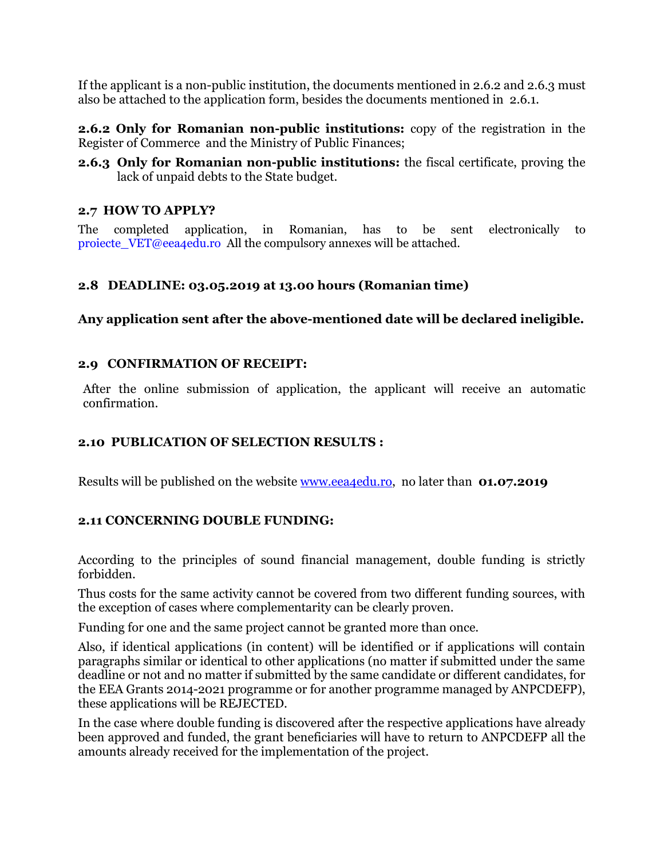If the applicant is a non-public institution, the documents mentioned in 2.6.2 and 2.6.3 must also be attached to the application form, besides the documents mentioned in 2.6.1.

**2.6.2 Only for Romanian non-public institutions:** copy of the registration in the Register of Commerce and the Ministry of Public Finances;

**2.6.3 Only for Romanian non-public institutions:** the fiscal certificate, proving the lack of unpaid debts to the State budget.

### **2.7 HOW TO APPLY?**

The completed application, in Romanian, has to be sent electronically to [proiecte\\_VET@eea4edu.ro](mailto:proiecte_VET@eea4edu.ro) All the compulsory annexes will be attached.

### **2.8 DEADLINE: 03.05.2019 at 13.00 hours (Romanian time)**

**Any application sent after the above-mentioned date will be declared ineligible.** 

#### **2.9 CONFIRMATION OF RECEIPT:**

After the online submission of application, the applicant will receive an automatic confirmation.

### **2.10 PUBLICATION OF SELECTION RESULTS :**

Results will be published on the website [www.eea4edu.ro,](http://www.eea4edu.ro/) no later than **01.07.2019** 

### **2.11 CONCERNING DOUBLE FUNDING:**

According to the principles of sound financial management, double funding is strictly forbidden.

Thus costs for the same activity cannot be covered from two different funding sources, with the exception of cases where complementarity can be clearly proven.

Funding for one and the same project cannot be granted more than once.

Also, if identical applications (in content) will be identified or if applications will contain paragraphs similar or identical to other applications (no matter if submitted under the same deadline or not and no matter if submitted by the same candidate or different candidates, for the EEA Grants 2014-2021 programme or for another programme managed by ANPCDEFP), these applications will be REJECTED.

In the case where double funding is discovered after the respective applications have already been approved and funded, the grant beneficiaries will have to return to ANPCDEFP all the amounts already received for the implementation of the project.